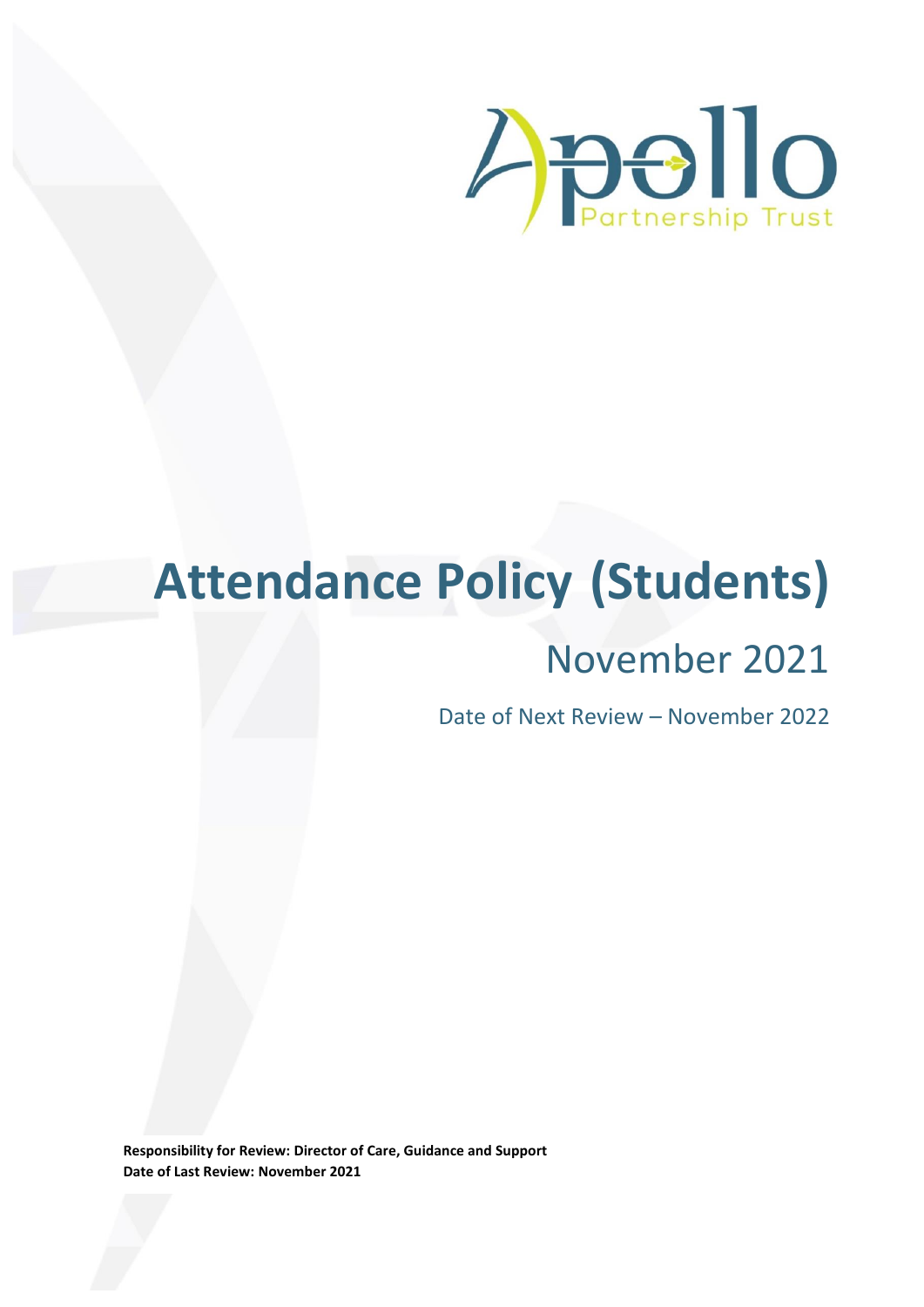

# **Attendance Policy (Students)**

# November 2021

Date of Next Review – November 2022

**Responsibility for Review: Director of Care, Guidance and Support Date of Last Review: November 2021**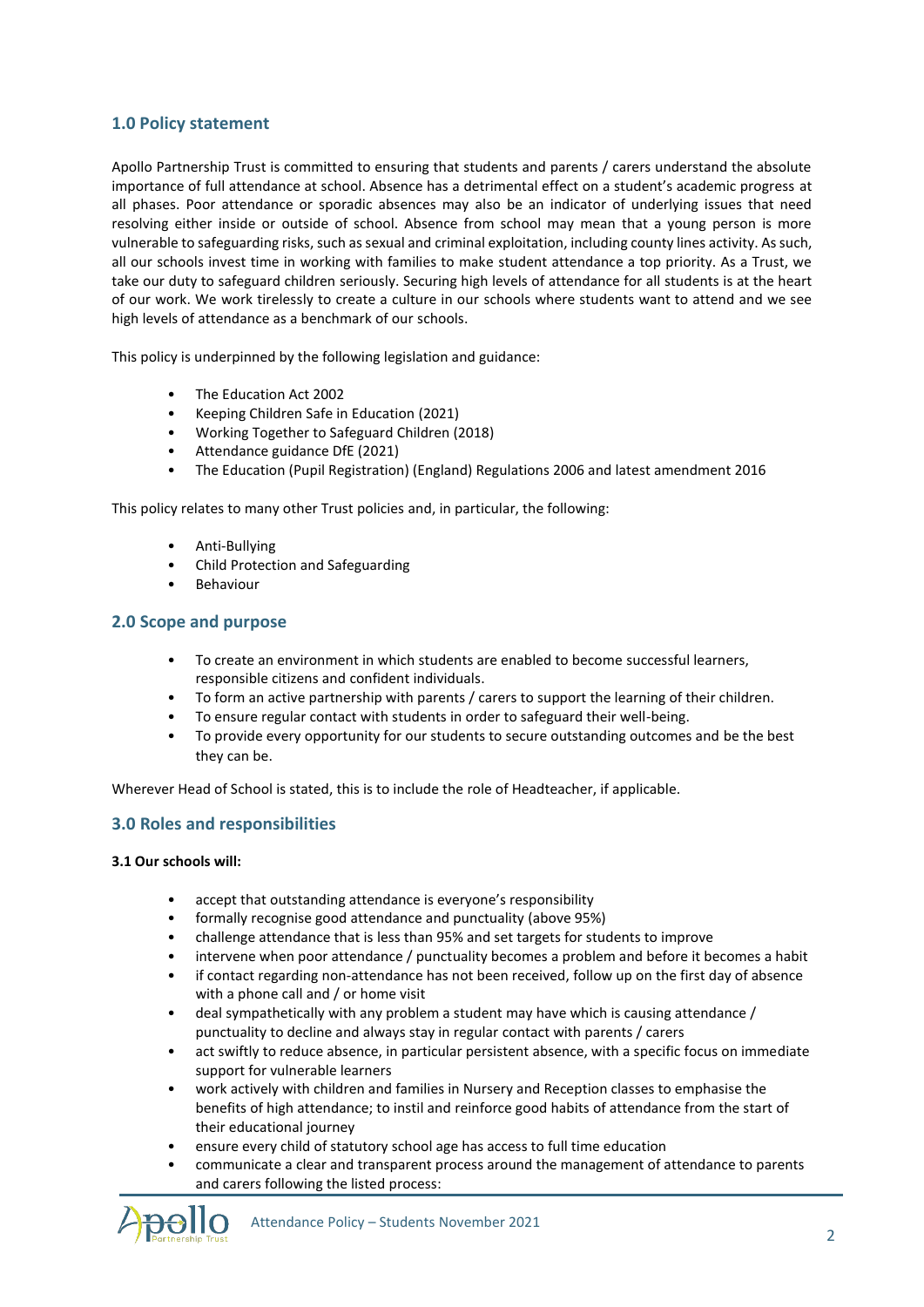# **1.0 Policy statement**

Apollo Partnership Trust is committed to ensuring that students and parents / carers understand the absolute importance of full attendance at school. Absence has a detrimental effect on a student's academic progress at all phases. Poor attendance or sporadic absences may also be an indicator of underlying issues that need resolving either inside or outside of school. Absence from school may mean that a young person is more vulnerable to safeguarding risks, such as sexual and criminal exploitation, including county lines activity. As such, all our schools invest time in working with families to make student attendance a top priority. As a Trust, we take our duty to safeguard children seriously. Securing high levels of attendance for all students is at the heart of our work. We work tirelessly to create a culture in our schools where students want to attend and we see high levels of attendance as a benchmark of our schools.

This policy is underpinned by the following legislation and guidance:

- The Education Act 2002
- Keeping Children Safe in Education (2021)
- Working Together to Safeguard Children (2018)
- Attendance guidance DfE (2021)
- The Education (Pupil Registration) (England) Regulations 2006 and latest amendment 2016

This policy relates to many other Trust policies and, in particular, the following:

- Anti-Bullying
- Child Protection and Safeguarding
- **Behaviour**

# **2.0 Scope and purpose**

- To create an environment in which students are enabled to become successful learners, responsible citizens and confident individuals.
- To form an active partnership with parents / carers to support the learning of their children.
- To ensure regular contact with students in order to safeguard their well-being.
- To provide every opportunity for our students to secure outstanding outcomes and be the best they can be.

Wherever Head of School is stated, this is to include the role of Headteacher, if applicable.

# **3.0 Roles and responsibilities**

#### **3.1 Our schools will:**

- accept that outstanding attendance is everyone's responsibility
- formally recognise good attendance and punctuality (above 95%)
- challenge attendance that is less than 95% and set targets for students to improve
- intervene when poor attendance / punctuality becomes a problem and before it becomes a habit
- if contact regarding non-attendance has not been received, follow up on the first day of absence with a phone call and / or home visit
- deal sympathetically with any problem a student may have which is causing attendance / punctuality to decline and always stay in regular contact with parents / carers
- act swiftly to reduce absence, in particular persistent absence, with a specific focus on immediate support for vulnerable learners
- work actively with children and families in Nursery and Reception classes to emphasise the benefits of high attendance; to instil and reinforce good habits of attendance from the start of their educational journey
- ensure every child of statutory school age has access to full time education
- communicate a clear and transparent process around the management of attendance to parents and carers following the listed process:

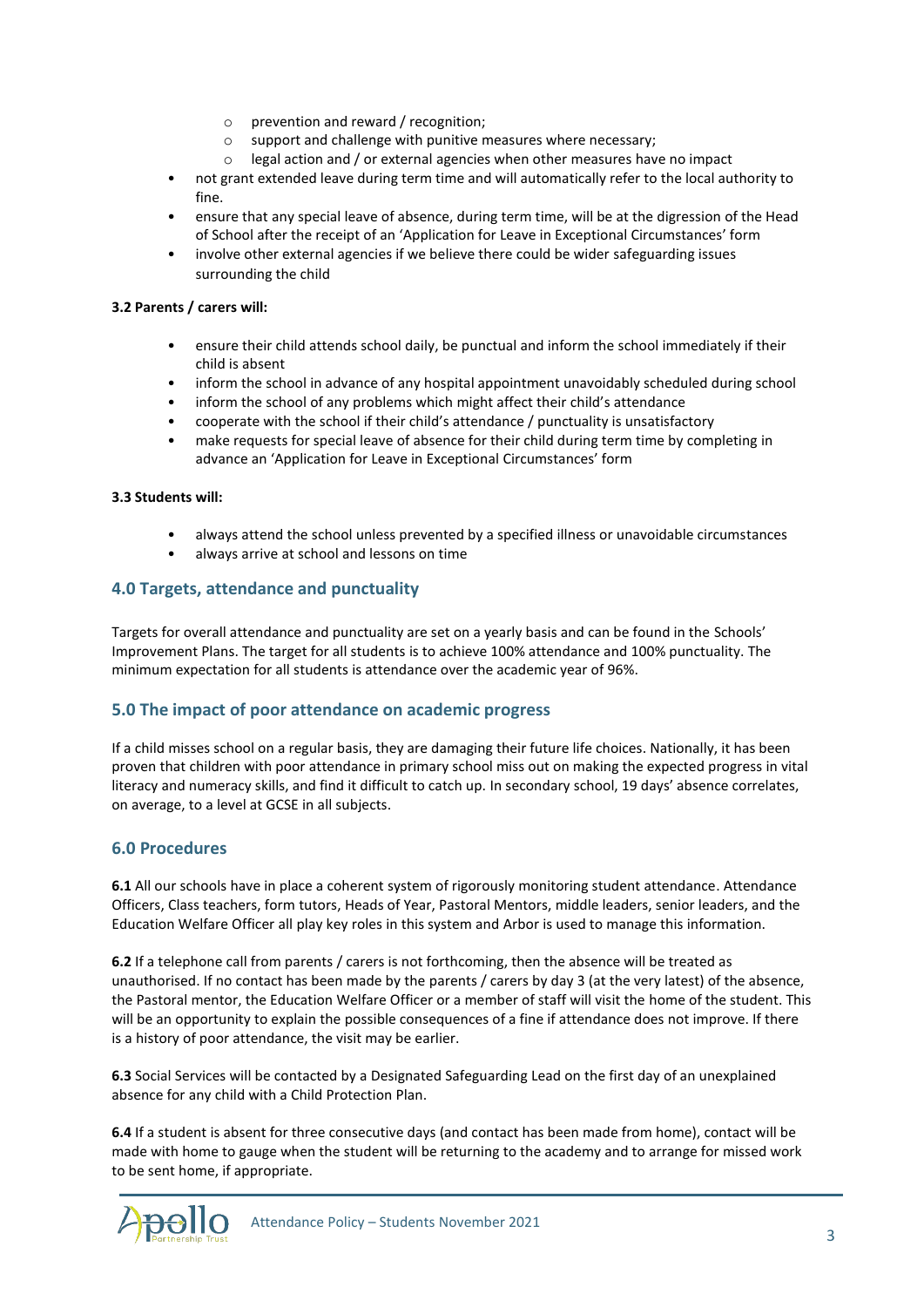- o prevention and reward / recognition;
- o support and challenge with punitive measures where necessary;
- o legal action and / or external agencies when other measures have no impact
- not grant extended leave during term time and will automatically refer to the local authority to fine.
- ensure that any special leave of absence, during term time, will be at the digression of the Head of School after the receipt of an 'Application for Leave in Exceptional Circumstances' form
- involve other external agencies if we believe there could be wider safeguarding issues surrounding the child

#### **3.2 Parents / carers will:**

- ensure their child attends school daily, be punctual and inform the school immediately if their child is absent
- inform the school in advance of any hospital appointment unavoidably scheduled during school
- inform the school of any problems which might affect their child's attendance
- cooperate with the school if their child's attendance / punctuality is unsatisfactory
- make requests for special leave of absence for their child during term time by completing in advance an 'Application for Leave in Exceptional Circumstances' form

#### **3.3 Students will:**

- always attend the school unless prevented by a specified illness or unavoidable circumstances
- always arrive at school and lessons on time

# **4.0 Targets, attendance and punctuality**

Targets for overall attendance and punctuality are set on a yearly basis and can be found in the Schools' Improvement Plans. The target for all students is to achieve 100% attendance and 100% punctuality. The minimum expectation for all students is attendance over the academic year of 96%.

# **5.0 The impact of poor attendance on academic progress**

If a child misses school on a regular basis, they are damaging their future life choices. Nationally, it has been proven that children with poor attendance in primary school miss out on making the expected progress in vital literacy and numeracy skills, and find it difficult to catch up. In secondary school, 19 days' absence correlates, on average, to a level at GCSE in all subjects.

# **6.0 Procedures**

**6.1** All our schools have in place a coherent system of rigorously monitoring student attendance. Attendance Officers, Class teachers, form tutors, Heads of Year, Pastoral Mentors, middle leaders, senior leaders, and the Education Welfare Officer all play key roles in this system and Arbor is used to manage this information.

**6.2** If a telephone call from parents / carers is not forthcoming, then the absence will be treated as unauthorised. If no contact has been made by the parents / carers by day 3 (at the very latest) of the absence, the Pastoral mentor, the Education Welfare Officer or a member of staff will visit the home of the student. This will be an opportunity to explain the possible consequences of a fine if attendance does not improve. If there is a history of poor attendance, the visit may be earlier.

**6.3** Social Services will be contacted by a Designated Safeguarding Lead on the first day of an unexplained absence for any child with a Child Protection Plan.

**6.4** If a student is absent for three consecutive days (and contact has been made from home), contact will be made with home to gauge when the student will be returning to the academy and to arrange for missed work to be sent home, if appropriate.

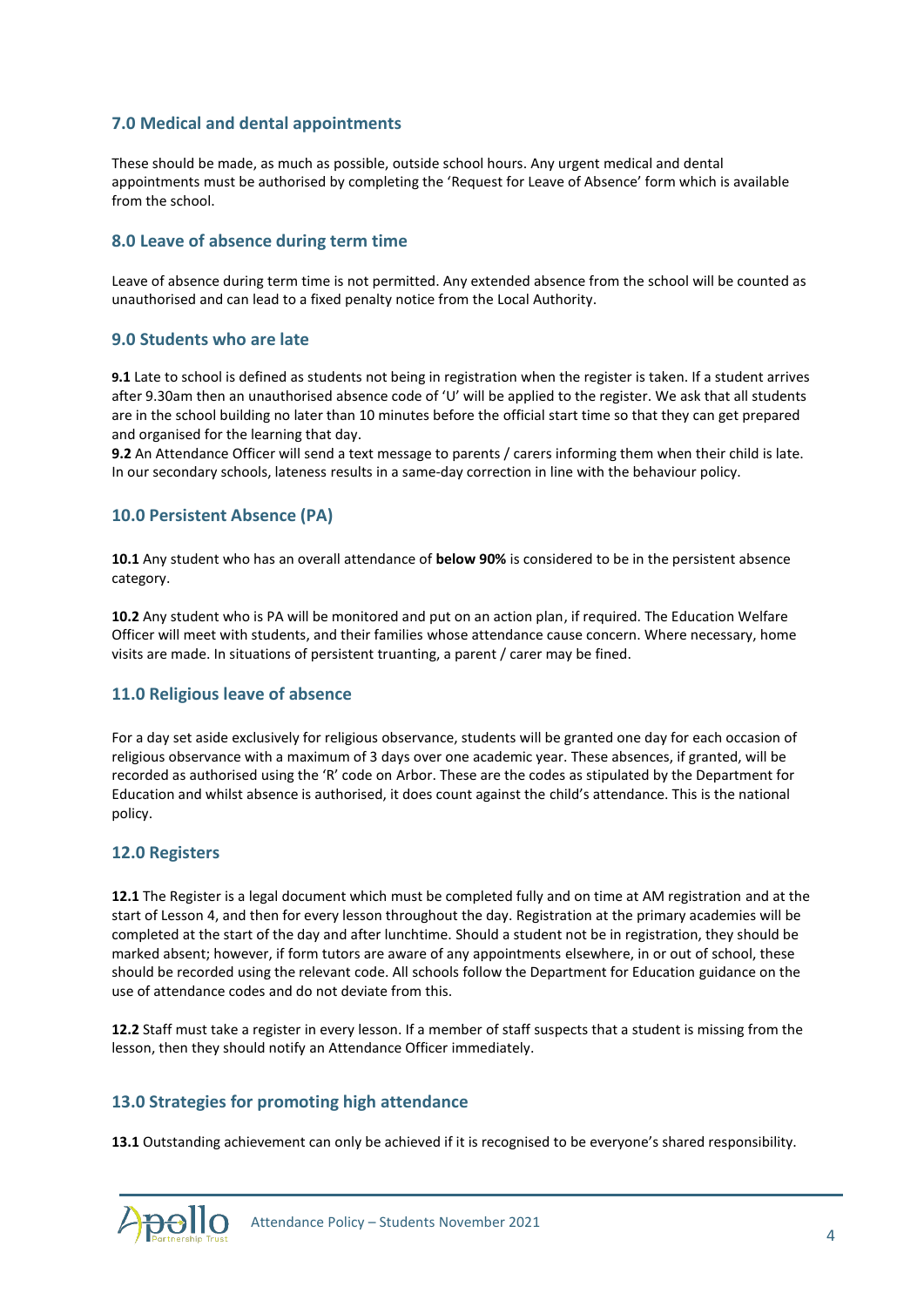# **7.0 Medical and dental appointments**

These should be made, as much as possible, outside school hours. Any urgent medical and dental appointments must be authorised by completing the 'Request for Leave of Absence' form which is available from the school.

# **8.0 Leave of absence during term time**

Leave of absence during term time is not permitted. Any extended absence from the school will be counted as unauthorised and can lead to a fixed penalty notice from the Local Authority.

#### **9.0 Students who are late**

**9.1** Late to school is defined as students not being in registration when the register is taken. If a student arrives after 9.30am then an unauthorised absence code of 'U' will be applied to the register. We ask that all students are in the school building no later than 10 minutes before the official start time so that they can get prepared and organised for the learning that day.

**9.2** An Attendance Officer will send a text message to parents / carers informing them when their child is late. In our secondary schools, lateness results in a same-day correction in line with the behaviour policy.

#### **10.0 Persistent Absence (PA)**

**10.1** Any student who has an overall attendance of **below 90%** is considered to be in the persistent absence category.

**10.2** Any student who is PA will be monitored and put on an action plan, if required. The Education Welfare Officer will meet with students, and their families whose attendance cause concern. Where necessary, home visits are made. In situations of persistent truanting, a parent / carer may be fined.

# **11.0 Religious leave of absence**

For a day set aside exclusively for religious observance, students will be granted one day for each occasion of religious observance with a maximum of 3 days over one academic year. These absences, if granted, will be recorded as authorised using the 'R' code on Arbor. These are the codes as stipulated by the Department for Education and whilst absence is authorised, it does count against the child's attendance. This is the national policy.

#### **12.0 Registers**

**12.1** The Register is a legal document which must be completed fully and on time at AM registration and at the start of Lesson 4, and then for every lesson throughout the day. Registration at the primary academies will be completed at the start of the day and after lunchtime. Should a student not be in registration, they should be marked absent; however, if form tutors are aware of any appointments elsewhere, in or out of school, these should be recorded using the relevant code. All schools follow the Department for Education guidance on the use of attendance codes and do not deviate from this.

**12.2** Staff must take a register in every lesson. If a member of staff suspects that a student is missing from the lesson, then they should notify an Attendance Officer immediately.

# **13.0 Strategies for promoting high attendance**

**13.1** Outstanding achievement can only be achieved if it is recognised to be everyone's shared responsibility.

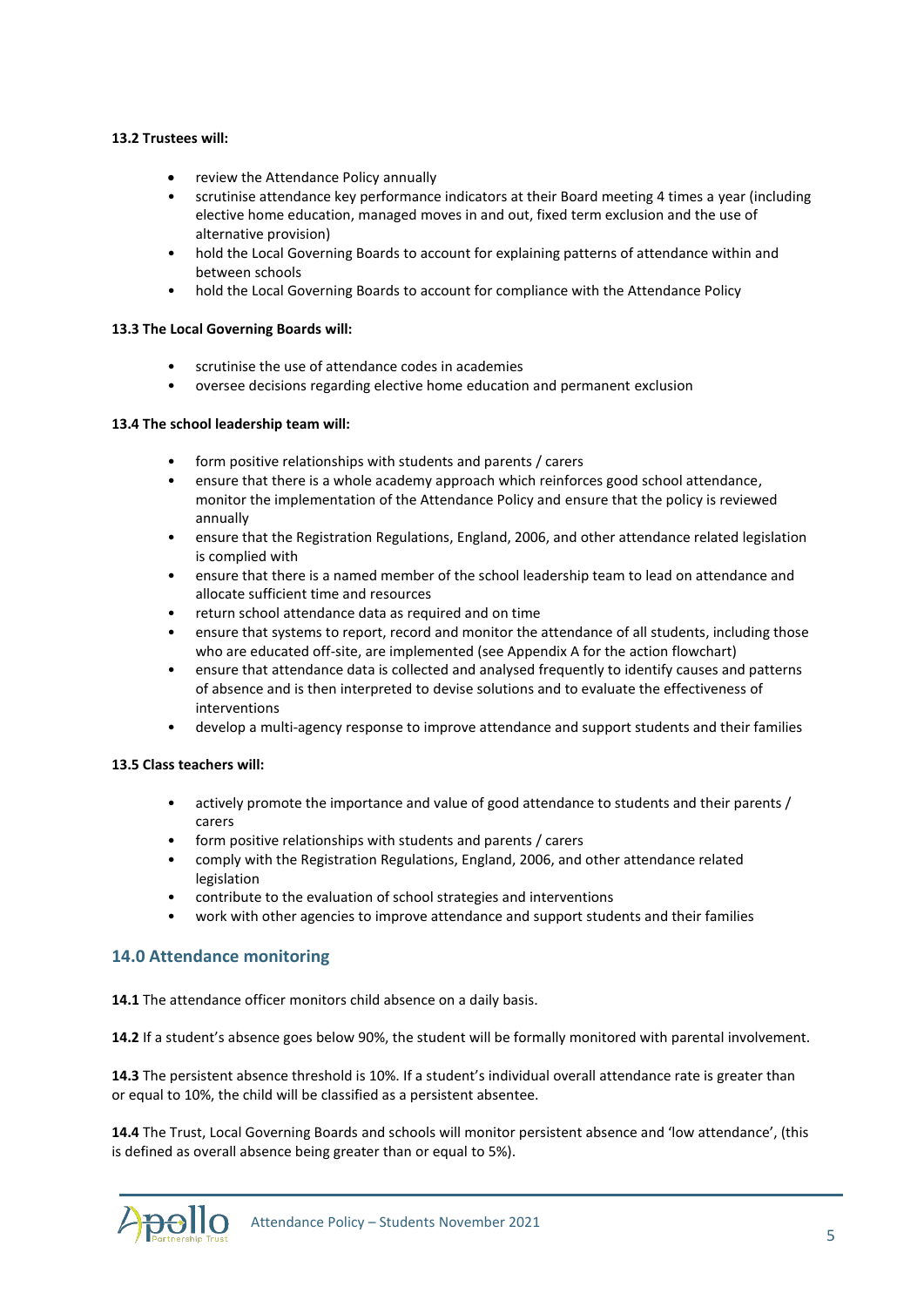#### **13.2 Trustees will:**

- review the Attendance Policy annually
- scrutinise attendance key performance indicators at their Board meeting 4 times a year (including elective home education, managed moves in and out, fixed term exclusion and the use of alternative provision)
- hold the Local Governing Boards to account for explaining patterns of attendance within and between schools
- hold the Local Governing Boards to account for compliance with the Attendance Policy

#### **13.3 The Local Governing Boards will:**

- scrutinise the use of attendance codes in academies
- oversee decisions regarding elective home education and permanent exclusion

#### **13.4 The school leadership team will:**

- form positive relationships with students and parents / carers
- ensure that there is a whole academy approach which reinforces good school attendance, monitor the implementation of the Attendance Policy and ensure that the policy is reviewed annually
- ensure that the Registration Regulations, England, 2006, and other attendance related legislation is complied with
- ensure that there is a named member of the school leadership team to lead on attendance and allocate sufficient time and resources
- return school attendance data as required and on time
- ensure that systems to report, record and monitor the attendance of all students, including those who are educated off-site, are implemented (see Appendix A for the action flowchart)
- ensure that attendance data is collected and analysed frequently to identify causes and patterns of absence and is then interpreted to devise solutions and to evaluate the effectiveness of interventions
- develop a multi-agency response to improve attendance and support students and their families

# **13.5 Class teachers will:**

- actively promote the importance and value of good attendance to students and their parents / carers
- form positive relationships with students and parents / carers
- comply with the Registration Regulations, England, 2006, and other attendance related legislation
- contribute to the evaluation of school strategies and interventions
- work with other agencies to improve attendance and support students and their families

# **14.0 Attendance monitoring**

**14.1** The attendance officer monitors child absence on a daily basis.

**14.2** If a student's absence goes below 90%, the student will be formally monitored with parental involvement.

**14.3** The persistent absence threshold is 10%. If a student's individual overall attendance rate is greater than or equal to 10%, the child will be classified as a persistent absentee.

**14.4** The Trust, Local Governing Boards and schools will monitor persistent absence and 'low attendance', (this is defined as overall absence being greater than or equal to 5%).